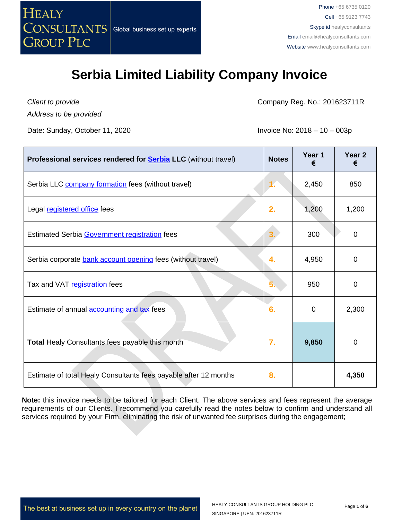

*Client to provide Address to be provided*

Date: Sunday, October 11, 2020 **Invoice No: 2018** – 10 – 003p

Company Reg. No.: 201623711R

| Professional services rendered for <b>Serbia LLC</b> (without travel) | <b>Notes</b> | Year 1<br>€ | Year <sub>2</sub><br>€ |
|-----------------------------------------------------------------------|--------------|-------------|------------------------|
| Serbia LLC <b>company formation</b> fees (without travel)             | 1.           | 2,450       | 850                    |
| Legal registered office fees                                          | 2.           | 1,200       | 1,200                  |
| Estimated Serbia Government registration fees                         |              | 300         | 0                      |
| Serbia corporate bank account opening fees (without travel)           | 4.           | 4,950       | $\Omega$               |
| Tax and VAT registration fees                                         | 5            | 950         | 0                      |
| Estimate of annual <b>accounting and tax</b> fees                     | 6.           | 0           | 2,300                  |
| Total Healy Consultants fees payable this month                       | 7.           | 9,850       | 0                      |
| Estimate of total Healy Consultants fees payable after 12 months      | 8.           |             | 4,350                  |

**Note:** this invoice needs to be tailored for each Client. The above services and fees represent the average requirements of our Clients. I recommend you carefully read the notes below to confirm and understand all services required by your Firm, eliminating the risk of unwanted fee surprises during the engagement;

The best at business set up in every country on the planet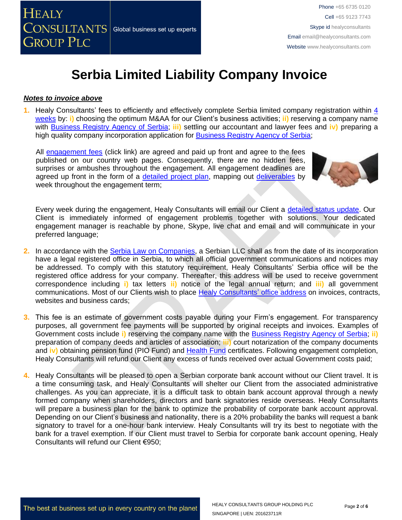

#### *Notes to invoice above*

**1.** Healy Consultants' fees to efficiently and effectively complete Serbia limited company registration within [4](http://www.healyconsultants.com/serbia-company-registration/fees-timelines/#timelines)  [weeks](http://www.healyconsultants.com/serbia-company-registration/fees-timelines/#timelines) by: **i)** choosing the optimum M&AA for our Client's business activities; **ii)** reserving a company name with [Business Registry Agency of Serbia;](http://www.apr.gov.rs/eng/Home.aspx) **iii)** settling our accountant and lawyer fees and **iv)** preparing a high quality company incorporation application for [Business Registry Agency of Serbia;](http://www.apr.gov.rs/eng/Home.aspx)

All [engagement fees](http://www.healyconsultants.com/company-registration-fees/) (click link) are agreed and paid up front and agree to the fees published on our country web pages. Consequently, there are no hidden fees, surprises or ambushes throughout the engagement. All engagement deadlines are agreed up front in the form of a [detailed project plan,](http://www.healyconsultants.com/index-important-links/example-project-plan/) mapping out [deliverables](http://www.healyconsultants.com/deliverables-to-our-clients/) by week throughout the engagement term;



Every week during the engagement, Healy Consultants will email our Client a [detailed status update.](http://www.healyconsultants.com/index-important-links/weekly-engagement-status-email/) Our Client is immediately informed of engagement problems together with solutions. Your dedicated engagement manager is reachable by phone, Skype, live chat and email and will communicate in your preferred language;

- **2.** In accordance with the [Serbia Law on Companies,](https://www.google.com.sg/url?sa=t&rct=j&q=&esrc=s&source=web&cd=2&cad=rja&uact=8&ved=0CCIQFjAB&url=http%3A%2F%2Fwww.apr.gov.rs%2FLinkClick.aspx%3Ffileticket%3D5LXmtJlDqS0%253D%26tabid%3D181%26portalid%3D3%26mid%3D733&ei=hq0PVezdJdaIuAS9toCgAg&usg=AFQjCNFBYpDnYjwnggT2fILqOv2JFa-KzQ&sig2=Cd2Q_E4pfdC3ykYAfEtNgw) a Serbian LLC shall as from the date of its incorporation have a legal registered office in Serbia, to which all official government communications and notices may be addressed. To comply with this statutory requirement, Healy Consultants' Serbia office will be the registered office address for your company. Thereafter, this address will be used to receive government correspondence including **i)** tax letters **ii)** notice of the legal annual return; and **iii)** all government communications. Most of our Clients wish to place [Healy Consultants'](http://www.healyconsultants.com/corporate-outsourcing-services/company-secretary-and-legal-registered-office/) office address on invoices, contracts, websites and business cards;
- **3.** This fee is an estimate of government costs payable during your Firm's engagement. For transparency purposes, all government fee payments will be supported by original receipts and invoices. Examples of Government costs include **i)** reserving the company name with the [Business Registry Agency of Serbia;](http://www.apr.gov.rs/eng/Home.aspx) **ii)** preparation of company deeds and articles of association; **iii)** court notarization of the company documents and **iv)** obtaining pension fund (PIO Fund) and [Health Fund](http://www.eng.rfzo.rs/) certificates. Following engagement completion, Healy Consultants will refund our Client any excess of funds received over actual Government costs paid;
- **4.** Healy Consultants will be pleased to open a Serbian corporate bank account without our Client travel. It is a time consuming task, and Healy Consultants will shelter our Client from the associated administrative challenges. As you can appreciate, it is a difficult task to obtain bank account approval through a newly formed company when shareholders, directors and bank signatories reside overseas. Healy Consultants will prepare a business plan for the bank to optimize the probability of corporate bank account approval. Depending on our Client's business and nationality, there is a 20% probability the banks will request a bank signatory to travel for a one-hour bank interview. Healy Consultants will try its best to negotiate with the bank for a travel exemption. If our Client must travel to Serbia for corporate bank account opening, Healy Consultants will refund our Client €950;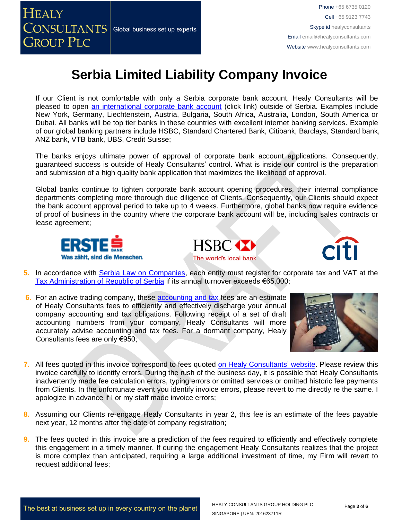

Phone +65 6735 0120 Cell +65 9123 7743 Skype id healyconsultants Email [email@healyconsultants.com](mailto:EMAIL@HEALYCONSULTANTS.COM) Website [www.healyconsultants.com](http://www.healyconsultants.com/)

# **Serbia Limited Liability Company Invoice**

If our Client is not comfortable with only a Serbia corporate bank account, Healy Consultants will be pleased to open [an international corporate bank account](http://www.healyconsultants.com/international-banking/) (click link) outside of Serbia. Examples include New York, Germany, Liechtenstein, Austria, Bulgaria, South Africa, Australia, London, South America or Dubai. All banks will be top tier banks in these countries with excellent internet banking services. Example of our global banking partners include HSBC, Standard Chartered Bank, Citibank, Barclays, Standard bank, ANZ bank, VTB bank, UBS, Credit Suisse;

The banks enjoys ultimate power of approval of corporate bank account applications. Consequently, guaranteed success is outside of Healy Consultants' control. What is inside our control is the preparation and submission of a high quality bank application that maximizes the likelihood of approval.

Global banks continue to tighten corporate bank account opening procedures, their internal compliance departments completing more thorough due diligence of Clients. Consequently, our Clients should expect the bank account approval period to take up to 4 weeks. Furthermore, global banks now require evidence of proof of business in the country where the corporate bank account will be, including sales contracts or lease agreement;







- **5.** In accordance with [Serbia Law on Companies,](https://www.google.com.sg/url?sa=t&rct=j&q=&esrc=s&source=web&cd=2&cad=rja&uact=8&ved=0CCIQFjAB&url=http%3A%2F%2Fwww.apr.gov.rs%2FLinkClick.aspx%3Ffileticket%3D5LXmtJlDqS0%253D%26tabid%3D181%26portalid%3D3%26mid%3D733&ei=hq0PVezdJdaIuAS9toCgAg&usg=AFQjCNFBYpDnYjwnggT2fILqOv2JFa-KzQ&sig2=Cd2Q_E4pfdC3ykYAfEtNgw) each entity must register for corporate tax and VAT at the [Tax Administration of Republic of Serbia](http://www.poreskaupravars.org/SiteEn/) if its annual turnover exceeds €65,000;
- **6.** For an active trading company, these [accounting and tax](http://www.healyconsultants.com/serbia-company-registration/accounting-legal/) fees are an estimate of Healy Consultants fees to efficiently and effectively discharge your annual company accounting and tax obligations. Following receipt of a set of draft accounting numbers from your company, Healy Consultants will more accurately advise accounting and tax fees. For a dormant company, Healy Consultants fees are only €950;



- **7.** All fees quoted in this invoice correspond to fees quoted [on Healy Consultants' website.](http://www.healyconsultants.com/company-registration-fees/) Please review this invoice carefully to identify errors. During the rush of the business day, it is possible that Healy Consultants inadvertently made fee calculation errors, typing errors or omitted services or omitted historic fee payments from Clients. In the unfortunate event you identify invoice errors, please revert to me directly re the same. I apologize in advance if I or my staff made invoice errors;
- **8.** Assuming our Clients re-engage Healy Consultants in year 2, this fee is an estimate of the fees payable next year, 12 months after the date of company registration;
- **9.** The fees quoted in this invoice are a prediction of the fees required to efficiently and effectively complete this engagement in a timely manner. If during the engagement Healy Consultants realizes that the project is more complex than anticipated, requiring a large additional investment of time, my Firm will revert to request additional fees;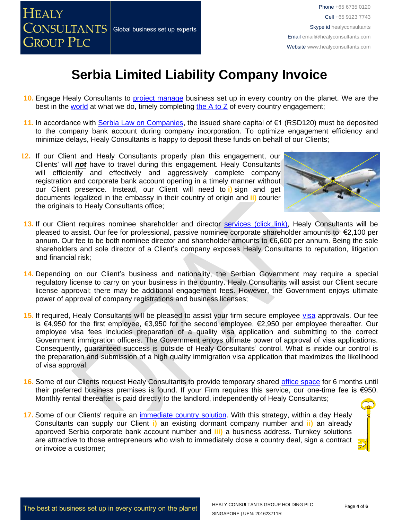

- **10.** Engage Healy Consultants to [project manage](http://www.healyconsultants.com/project-manage-engagements/) business set up in every country on the planet. We are the best in the [world](http://www.healyconsultants.com/best-in-the-world/) at what we do, timely completing [the A to Z](http://www.healyconsultants.com/a-to-z-of-business-set-up/) of every country engagement;
- **11.** In accordance with [Serbia Law on Companies,](https://www.google.com.sg/url?sa=t&rct=j&q=&esrc=s&source=web&cd=2&cad=rja&uact=8&ved=0CCIQFjAB&url=http%3A%2F%2Fwww.apr.gov.rs%2FLinkClick.aspx%3Ffileticket%3D5LXmtJlDqS0%253D%26tabid%3D181%26portalid%3D3%26mid%3D733&ei=hq0PVezdJdaIuAS9toCgAg&usg=AFQjCNFBYpDnYjwnggT2fILqOv2JFa-KzQ&sig2=Cd2Q_E4pfdC3ykYAfEtNgw) the issued share capital of €1 (RSD120) must be deposited to the company bank account during company incorporation. To optimize engagement efficiency and minimize delays, Healy Consultants is happy to deposit these funds on behalf of our Clients;
- **12.** If our Client and Healy Consultants properly plan this engagement, our Clients' will *not* have to travel during this engagement. Healy Consultants will efficiently and effectively and aggressively complete company registration and corporate bank account opening in a timely manner without our Client presence. Instead, our Client will need to **i)** sign and get documents legalized in the embassy in their country of origin and **ii)** courier the originals to Healy Consultants office;



- 13. If our Client requires nominee shareholder and director services [\(click link\),](http://www.healyconsultants.com/corporate-outsourcing-services/nominee-shareholders-directors/) Healy Consultants will be pleased to assist. Our fee for professional, passive nominee corporate shareholder amounts to €2,100 per annum. Our fee to be both nominee director and shareholder amounts to €6,600 per annum. Being the sole shareholders and sole director of a Client's company exposes Healy Consultants to reputation, litigation and financial risk;
- **14.** Depending on our Client's business and nationality, the Serbian Government may require a special regulatory license to carry on your business in the country. Healy Consultants will assist our Client secure license approval; there may be additional engagement fees. However, the Government enjoys ultimate power of approval of company registrations and business licenses;
- **15.** If required, Healy Consultants will be pleased to assist your firm secure employee [visa](http://www.healyconsultants.com/support-services/) approvals. Our fee is €4,950 for the first employee, €3,950 for the second employee, €2,950 per employee thereafter. Our employee visa fees includes preparation of a quality visa application and submitting to the correct Government immigration officers. The Government enjoys ultimate power of approval of visa applications. Consequently, guaranteed success is outside of Healy Consultants' control. What is inside our control is the preparation and submission of a high quality immigration visa application that maximizes the likelihood of visa approval;
- **16.** Some of our Clients request Healy Consultants to provide temporary shared [office space](http://www.healyconsultants.com/virtual-office/) for 6 months until their preferred business premises is found. If your Firm requires this service, our one-time fee is €950. Monthly rental thereafter is paid directly to the landlord, independently of Healy Consultants;
- 17. Some of our Clients' require an *immediate country solution*. With this strategy, within a day Healy Consultants can supply our Client **i)** an existing dormant company number and **ii)** an already approved Serbia corporate bank account number and **iii)** a business address. Turnkey solutions are attractive to those entrepreneurs who wish to immediately close a country deal, sign a contract or invoice a customer;

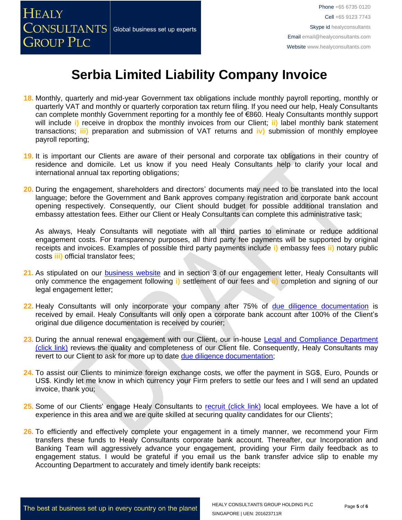

- **18.** Monthly, quarterly and mid-year Government tax obligations include monthly payroll reporting, monthly or quarterly VAT and monthly or quarterly corporation tax return filing. If you need our help, Healy Consultants can complete monthly Government reporting for a monthly fee of €860. Healy Consultants monthly support will include **i)** receive in dropbox the monthly invoices from our Client; **ii)** label monthly bank statement transactions; **iii)** preparation and submission of VAT returns and **iv)** submission of monthly employee payroll reporting;
- **19.** It is important our Clients are aware of their personal and corporate tax obligations in their country of residence and domicile. Let us know if you need Healy Consultants help to clarify your local and international annual tax reporting obligations;
- **20.** During the engagement, shareholders and directors' documents may need to be translated into the local language; before the Government and Bank approves company registration and corporate bank account opening respectively. Consequently, our Client should budget for possible additional translation and embassy attestation fees. Either our Client or Healy Consultants can complete this administrative task;

As always, Healy Consultants will negotiate with all third parties to eliminate or reduce additional engagement costs. For transparency purposes, all third party fee payments will be supported by original receipts and invoices. Examples of possible third party payments include **i)** embassy fees **ii)** notary public costs **iii)** official translator fees;

- **21.** As stipulated on our [business website](http://www.healyconsultants.com/) and in section 3 of our engagement letter, Healy Consultants will only commence the engagement following **i)** settlement of our fees and **ii)** completion and signing of our legal engagement letter;
- **22.** Healy Consultants will only incorporate your company after 75% of [due diligence documentation](http://www.healyconsultants.com/due-diligence/) is received by email. Healy Consultants will only open a corporate bank account after 100% of the Client's original due diligence documentation is received by courier;
- **23.** During the annual renewal engagement with our Client, our in-house [Legal and Compliance Department](http://www.healyconsultants.com/about-us/key-personnel/cai-xin-profile/)  [\(click link\)](http://www.healyconsultants.com/about-us/key-personnel/cai-xin-profile/) reviews the quality and completeness of our Client file. Consequently, Healy Consultants may revert to our Client to ask for more up to date [due diligence documentation;](http://www.healyconsultants.com/due-diligence/)
- **24.** To assist our Clients to minimize foreign exchange costs, we offer the payment in SG\$, Euro, Pounds or US\$. Kindly let me know in which currency your Firm prefers to settle our fees and I will send an updated invoice, thank you;
- **25.** Some of our Clients' engage Healy Consultants to [recruit \(click link\)](http://www.healyconsultants.com/corporate-outsourcing-services/how-we-help-our-clients-recruit-quality-employees/) local employees. We have a lot of experience in this area and we are quite skilled at securing quality candidates for our Clients';
- **26.** To efficiently and effectively complete your engagement in a timely manner, we recommend your Firm transfers these funds to Healy Consultants corporate bank account. Thereafter, our Incorporation and Banking Team will aggressively advance your engagement, providing your Firm daily feedback as to engagement status. I would be grateful if you email us the bank transfer advice slip to enable my Accounting Department to accurately and timely identify bank receipts: